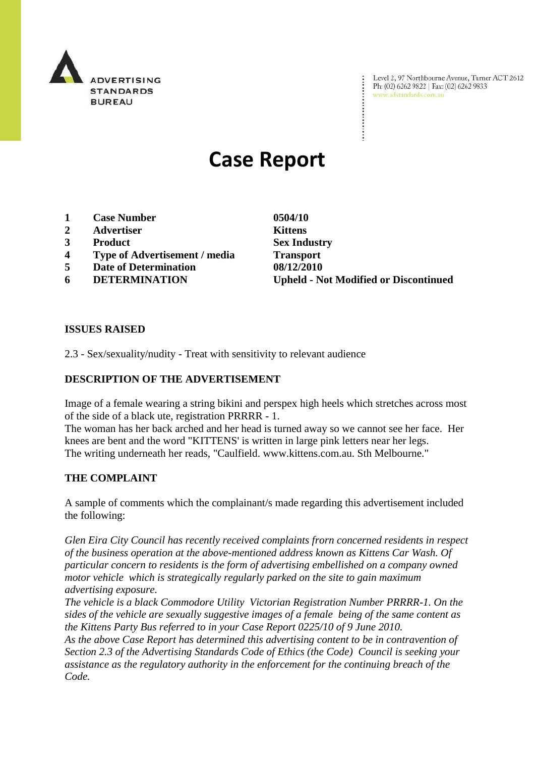

Level 2, 97 Northbourne Avenue, Turner ACT 2612 Ph: (02) 6262 9822 | Fax: (02) 6262 9833 www.adstandards.com.au

# **Case Report**

- **1 Case Number 0504/10**
- **2 Advertiser Kittens**
- **3 Product Sex Industry**
- **4 Type of Advertisement / media Transport**
- **5 Date of Determination 08/12/2010**
- 

**6 DETERMINATION Upheld - Not Modified or Discontinued**

## **ISSUES RAISED**

2.3 - Sex/sexuality/nudity - Treat with sensitivity to relevant audience

## **DESCRIPTION OF THE ADVERTISEMENT**

Image of a female wearing a string bikini and perspex high heels which stretches across most of the side of a black ute, registration PRRRR - 1.

The woman has her back arched and her head is turned away so we cannot see her face. Her knees are bent and the word "KITTENS' is written in large pink letters near her legs. The writing underneath her reads, "Caulfield. www.kittens.com.au. Sth Melbourne."

#### **THE COMPLAINT**

A sample of comments which the complainant/s made regarding this advertisement included the following:

*Glen Eira City Council has recently received complaints frorn concerned residents in respect of the business operation at the above-mentioned address known as Kittens Car Wash. Of particular concern to residents is the form of advertising embellished on a company owned motor vehicle which is strategically regularly parked on the site to gain maximum advertising exposure.*

*The vehicle is a black Commodore Utility Victorian Registration Number PRRRR-1. On the sides of the vehicle are sexually suggestive images of a female being of the same content as the Kittens Party Bus referred to in your Case Report 0225/10 of 9 June 2010.*

*As the above Case Report has determined this advertising content to be in contravention of Section 2.3 of the Advertising Standards Code of Ethics (the Code) Council is seeking your assistance as the regulatory authority in the enforcement for the continuing breach of the Code.*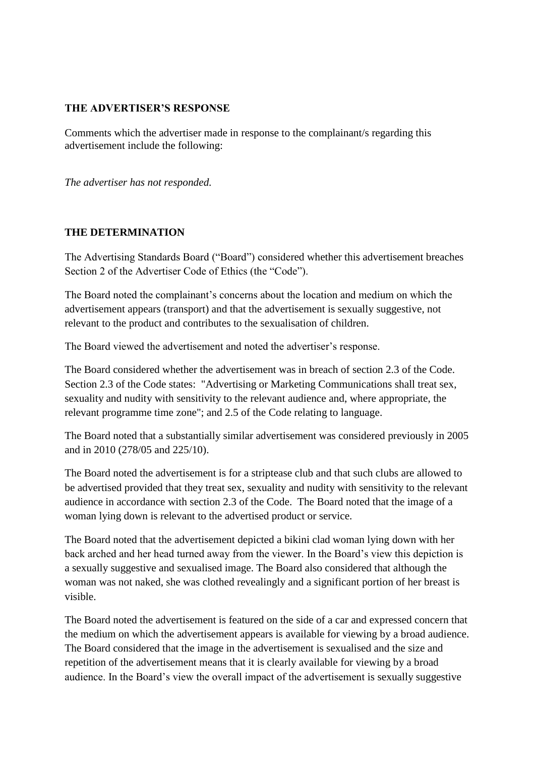#### **THE ADVERTISER'S RESPONSE**

Comments which the advertiser made in response to the complainant/s regarding this advertisement include the following:

*The advertiser has not responded.*

## **THE DETERMINATION**

The Advertising Standards Board ("Board") considered whether this advertisement breaches Section 2 of the Advertiser Code of Ethics (the "Code").

The Board noted the complainant's concerns about the location and medium on which the advertisement appears (transport) and that the advertisement is sexually suggestive, not relevant to the product and contributes to the sexualisation of children.

The Board viewed the advertisement and noted the advertiser's response.

The Board considered whether the advertisement was in breach of section 2.3 of the Code. Section 2.3 of the Code states: "Advertising or Marketing Communications shall treat sex, sexuality and nudity with sensitivity to the relevant audience and, where appropriate, the relevant programme time zone"; and 2.5 of the Code relating to language.

The Board noted that a substantially similar advertisement was considered previously in 2005 and in 2010 (278/05 and 225/10).

The Board noted the advertisement is for a striptease club and that such clubs are allowed to be advertised provided that they treat sex, sexuality and nudity with sensitivity to the relevant audience in accordance with section 2.3 of the Code. The Board noted that the image of a woman lying down is relevant to the advertised product or service.

The Board noted that the advertisement depicted a bikini clad woman lying down with her back arched and her head turned away from the viewer. In the Board's view this depiction is a sexually suggestive and sexualised image. The Board also considered that although the woman was not naked, she was clothed revealingly and a significant portion of her breast is visible.

The Board noted the advertisement is featured on the side of a car and expressed concern that the medium on which the advertisement appears is available for viewing by a broad audience. The Board considered that the image in the advertisement is sexualised and the size and repetition of the advertisement means that it is clearly available for viewing by a broad audience. In the Board's view the overall impact of the advertisement is sexually suggestive